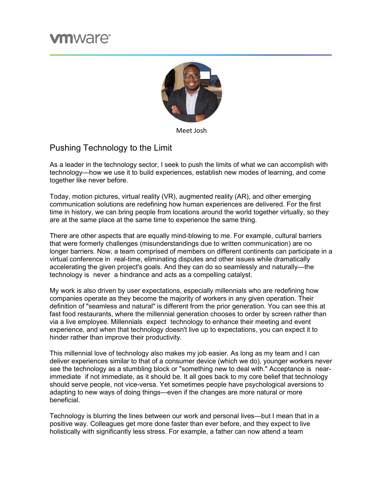## **m**ware<sup>®</sup>



Meet Josh

## Pushing Technology to the Limit

As a leader in the technology sector, I seek to push the limits of what we can accomplish with technology—how we use it to build experiences, establish new modes of learning, and come together like never before.

Today, motion pictures, virtual reality (VR), augmented reality (AR), and other emerging communication solutions are redefining how human experiences are delivered. For the first time in history, we can bring people from locations around the world together virtually, so they are at the same place at the same time to experience the same thing.

There are other aspects that are equally mind-blowing to me. For example, cultural barriers that were formerly challenges (misunderstandings due to written communication) are no longer barriers. Now, a team comprised of members on different continents can participate in a virtual conference in real-time, eliminating disputes and other issues while dramatically accelerating the given project's goals. And they can do so seamlessly and naturally—the technology is never a hindrance and acts as a compelling catalyst.

My work is also driven by user expectations, especially millennials who are redefining how companies operate as they become the majority of workers in any given operation. Their definition of "seamless and natural" is different from the prior generation. You can see this at fast food restaurants, where the millennial generation chooses to order by screen rather than via a live employee. Millennials expect technology to enhance their meeting and event experience, and when that technology doesn't live up to expectations, you can expect it to hinder rather than improve their productivity.

This millennial love of technology also makes my job easier. As long as my team and I can deliver experiences similar to that of a consumer device (which we do), younger workers never see the technology as a stumbling block or "something new to deal with." Acceptance is nearimmediate if not immediate, as it should be. It all goes back to my core belief that technology should serve people, not vice-versa. Yet sometimes people have psychological aversions to adapting to new ways of doing things—even if the changes are more natural or more beneficial.

Technology is blurring the lines between our work and personal lives—but I mean that in a positive way. Colleagues get more done faster than ever before, and they expect to live holistically with significantly less stress. For example, a father can now attend a team